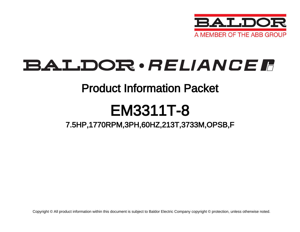

# BALDOR · RELIANCE F

### Product Information Packet

# EM3311T-8

### 7.5HP,1770RPM,3PH,60HZ,213T,3733M,OPSB,F

Copyright © All product information within this document is subject to Baldor Electric Company copyright © protection, unless otherwise noted.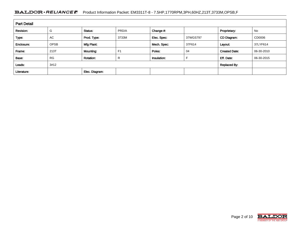#### BALDOR · RELIANCE F Product Information Packet: EM3311T-8 - 7.5HP,1770RPM,3PH,60HZ,213T,3733M,OPSB,F

| <b>Part Detail</b> |             |                  |                |             |          |                      |            |  |  |
|--------------------|-------------|------------------|----------------|-------------|----------|----------------------|------------|--|--|
| Revision:          | G           | Status:          | PRD/A          | Change #:   |          | Proprietary:         | No         |  |  |
| Type:              | AC.         | Prod. Type:      | 3733M          | Elec. Spec: | 37WGS797 | CD Diagram:          | CD0006     |  |  |
| Enclosure:         | <b>OPSB</b> | Mfg Plant:       |                | Mech. Spec: | 37F614   | Layout:              | 37LYF614   |  |  |
| Frame:             | 213T        | <b>Mounting:</b> | F <sub>1</sub> | Poles:      | 04       | <b>Created Date:</b> | 06-30-2010 |  |  |
| Base:              | <b>RG</b>   | <b>Rotation:</b> | R              | Insulation: |          | Eff. Date:           | 06-30-2015 |  |  |
| Leads:             | 3#12        |                  | Replaced By:   |             |          |                      |            |  |  |
| Literature:        |             | Elec. Diagram:   |                |             |          |                      |            |  |  |

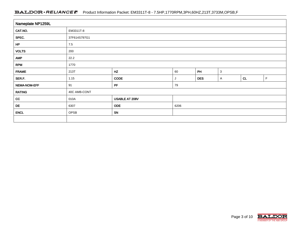#### BALDOR · RELIANCE F Product Information Packet: EM3311T-8 - 7.5HP,1770RPM,3PH,60HZ,213T,3733M,OPSB,F

| Nameplate NP1259L |                                        |      |   |            |              |    |   |  |  |
|-------------------|----------------------------------------|------|---|------------|--------------|----|---|--|--|
| CAT.NO.           | EM3311T-8                              |      |   |            |              |    |   |  |  |
| SPEC.             | 37F614S797G1                           |      |   |            |              |    |   |  |  |
| HP                | $7.5$                                  |      |   |            |              |    |   |  |  |
| <b>VOLTS</b>      | 200                                    |      |   |            |              |    |   |  |  |
| <b>AMP</b>        | 22.2                                   |      |   |            |              |    |   |  |  |
| <b>RPM</b>        | 1770                                   |      |   |            |              |    |   |  |  |
| <b>FRAME</b>      | HZ<br>PH<br>$\mathbf{3}$<br>60<br>213T |      |   |            |              |    |   |  |  |
| SER.F.            | 1.15                                   | CODE | J | <b>DES</b> | $\mathsf{A}$ | CL | F |  |  |
| NEMA-NOM-EFF      | PF<br>91<br>79                         |      |   |            |              |    |   |  |  |
| <b>RATING</b>     | 40C AMB-CONT                           |      |   |            |              |    |   |  |  |
| cc                | USABLE AT 208V<br>010A                 |      |   |            |              |    |   |  |  |
| DE                | <b>ODE</b><br>6206<br>6307             |      |   |            |              |    |   |  |  |
| <b>ENCL</b>       | SN<br>OPSB                             |      |   |            |              |    |   |  |  |
|                   |                                        |      |   |            |              |    |   |  |  |

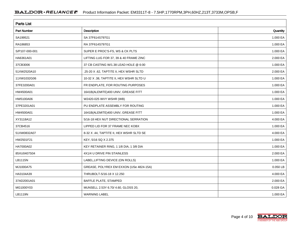| <b>Parts List</b>  |                                          |          |  |  |  |  |
|--------------------|------------------------------------------|----------|--|--|--|--|
| <b>Part Number</b> | Description                              | Quantity |  |  |  |  |
| SA199521           | SA 37F614S797G1                          | 1.000 EA |  |  |  |  |
| RA186853           | RA 37F614S797G1                          | 1.000 EA |  |  |  |  |
| S/P107-000-001     | SUPER E PROC'S-FS, WS & CK PLTS          | 1.000 EA |  |  |  |  |
| HA6361A01          | LIFTING LUG FOR 37, 39 & 40 FRAME ZINC   | 2.000 EA |  |  |  |  |
| 37CB3006           | 37 CB CASTING W/1.38 LEAD HOLE @ 6:00    | 1.000 EA |  |  |  |  |
| 51XW2520A10        | .25-20 X .62, TAPTITE II, HEX WSHR SLTD  | 2.000 EA |  |  |  |  |
| 11XW1032G06        | 10-32 X .38, TAPTITE II, HEX WSHR SLTD U | 1.000 EA |  |  |  |  |
| 37FE3200A01        | FR ENDPLATE, FOR ROUTING PURPOSES        | 1.000 EA |  |  |  |  |
| HW4500A01          | 1641B(ALEMITE)400 UNIV, GREASE FITT      | 1.000 EA |  |  |  |  |
| HW5100A06          | W2420-025 WVY WSHR (WB)                  | 1.000 EA |  |  |  |  |
| 37PE3201A01        | PU ENDPLATE ASSEMBLY FOR ROUTING         | 1.000 EA |  |  |  |  |
| HW4500A01          | 1641B(ALEMITE)400 UNIV, GREASE FITT      | 1.000 EA |  |  |  |  |
| XY3118A12          | 5/16-18 HEX NUT DIRECTIONAL SERRATION    | 4.000 EA |  |  |  |  |
| 37CB4516           | LIPPED LID FOR 37 FRAME NEC KOBX         | 1.000 EA |  |  |  |  |
| 51XW0832A07        | 8-32 X .44, TAPTITE II, HEX WSHR SLTD SE | 4.000 EA |  |  |  |  |
| HW2501F21          | KEY, 5/16 SQ X 2.375                     | 1.000 EA |  |  |  |  |
| HA7000A02          | KEY RETAINER RING, 1 1/8 DIA, 1 3/8 DIA  | 1.000 EA |  |  |  |  |
| 85XU0407S04        | 4X1/4 U DRIVE PIN STAINLESS              | 2.000 EA |  |  |  |  |
| LB1115N            | LABEL, LIFTING DEVICE (ON ROLLS)         | 1.000 EA |  |  |  |  |
| MJ1000A75          | GREASE, POLYREX EM EXXON (USe 4824-15A)  | 0.050 LB |  |  |  |  |
| HA3104A39          | THRUBOLT-5/16-18 X 12.250                | 4.000 EA |  |  |  |  |
| 37AD2001A01        | BAFFLE PLATE, STAMPED                    | 2.000 EA |  |  |  |  |
| MG1000Y03          | MUNSELL 2.53Y 6.70/ 4.60, GLOSS 20,      | 0.028 GA |  |  |  |  |
| LB1119N            | <b>WARNING LABEL</b>                     | 1.000 EA |  |  |  |  |

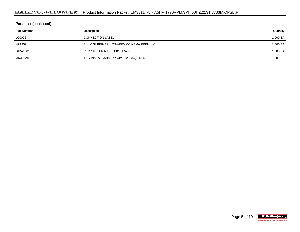#### BALDOR · RELIANCE F Product Information Packet: EM3311T-8 - 7.5HP,1770RPM,3PH,60HZ,213T,3733M,OPSB,F

| Parts List (continued) |                                          |          |  |  |  |  |  |
|------------------------|------------------------------------------|----------|--|--|--|--|--|
| <b>Part Number</b>     | Description                              | Quantity |  |  |  |  |  |
| LC0006                 | <b>CONNECTION LABEL</b>                  | 1.000 EA |  |  |  |  |  |
| <b>NP1259L</b>         | ALUM SUPER-E UL CSA-EEV CC NEMA PREMIUM  | 1.000 EA |  |  |  |  |  |
| 36PA1001               | PKG GRP, PRINT<br>PK1017A06              | 1.000 EA |  |  |  |  |  |
| MN416A01               | TAG-INSTAL-MAINT no wire (1200/bx) 11/14 | 1.000 EA |  |  |  |  |  |

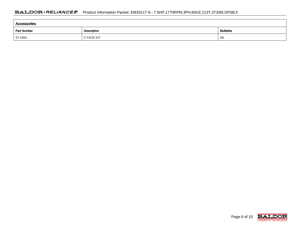| Accessories        |             |            |  |  |  |  |  |
|--------------------|-------------|------------|--|--|--|--|--|
| <b>Part Number</b> | Description | Multiplier |  |  |  |  |  |
| 37-1404            | C FACE KIT  | A8         |  |  |  |  |  |

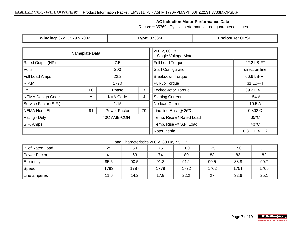#### **AC Induction Motor Performance Data**

Record # 35769 - Typical performance - not guaranteed values

| <b>Winding: 37WGS797-R002</b>                 |                  |                         | <b>Type: 3733M</b>                    | <b>Enclosure: OPSB</b>     |                |  |
|-----------------------------------------------|------------------|-------------------------|---------------------------------------|----------------------------|----------------|--|
| Nameplate Data                                |                  |                         | 200 V, 60 Hz:<br>Single Voltage Motor |                            |                |  |
| <b>Rated Output (HP)</b>                      | 7.5              |                         | <b>Full Load Torque</b>               | 22.2 LB-FT                 |                |  |
| <b>Volts</b>                                  | 200              |                         |                                       | <b>Start Configuration</b> | direct on line |  |
| <b>Full Load Amps</b>                         |                  | 22.2                    |                                       | <b>Breakdown Torque</b>    | 66.6 LB-FT     |  |
| R.P.M.                                        |                  | 1770                    |                                       | Pull-up Torque             | 31 LB-FT       |  |
| Hz                                            | 3<br>60<br>Phase |                         | Locked-rotor Torque                   | 39.2 LB-FT                 |                |  |
| NEMA Design Code<br><b>KVA Code</b><br>A<br>J |                  | <b>Starting Current</b> | 154 A                                 |                            |                |  |
| Service Factor (S.F.)                         | 1.15             |                         | No-load Current                       | 10.5A                      |                |  |
| NEMA Nom. Eff.                                | 91               | Power Factor            | 79                                    | Line-line Res. @ 25°C      | $0.302 \Omega$ |  |
| <b>Rating - Duty</b>                          | 40C AMB-CONT     |                         | Temp. Rise @ Rated Load               | $35^{\circ}$ C             |                |  |
| S.F. Amps                                     |                  |                         |                                       | Temp. Rise @ S.F. Load     | $43^{\circ}$ C |  |
|                                               |                  |                         |                                       | Rotor inertia              | 0.811 LB-FT2   |  |

#### Load Characteristics 200 V, 60 Hz, 7.5 HP

| % of Rated Load | 25   | 50   | 75   | 100  | 125  | 150  | S.F. |
|-----------------|------|------|------|------|------|------|------|
| Power Factor    | 41   | 63   | 74   | 80   | 83   | 83   | 82   |
| Efficiency      | 85.6 | 90.5 | 91.3 | 91.1 | 90.5 | 88.8 | 90.7 |
| Speed           | 1793 | 1787 | 1779 | 1772 | 1762 | 1751 | 1766 |
| Line amperes    | 11.6 | 14.2 | 17.9 | 22.2 | 27   | 32.6 | 25.1 |

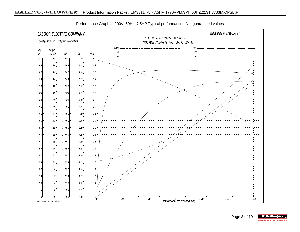

Performance Graph at 200V, 60Hz, 7.5HP Typical performance - Not guaranteed values

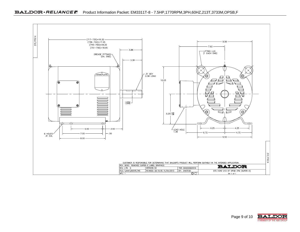